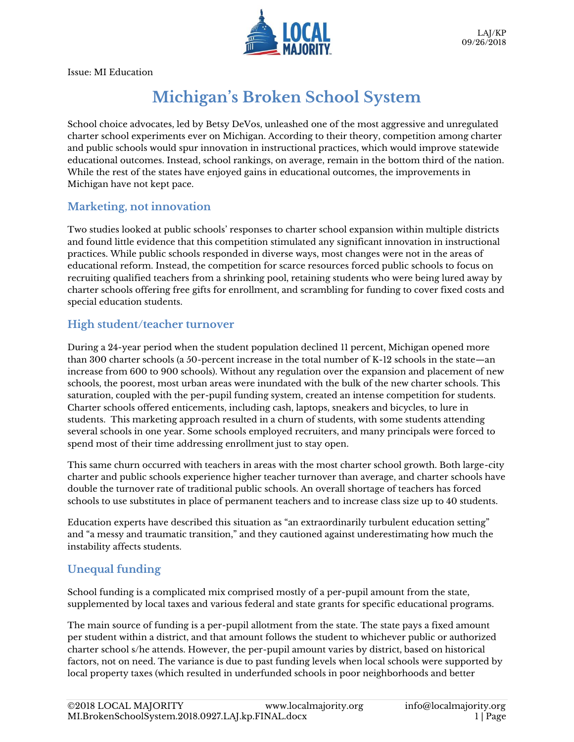

Issue: MI Education

# **Michigan's Broken School System**

School choice advocates, led by Betsy DeVos, unleashed one of the most aggressive and unregulated charter school experiments ever on Michigan. According to their theory, competition among charter and public schools would spur innovation in instructional practices, which would improve statewide educational outcomes. Instead, school rankings, on average, remain in the bottom third of the nation. While the rest of the states have enjoyed gains in educational outcomes, the improvements in Michigan have not kept pace.

#### **Marketing, not innovation**

Two studies looked at public schools' responses to charter school expansion within multiple districts and found little evidence that this competition stimulated any significant innovation in instructional practices. While public schools responded in diverse ways, most changes were not in the areas of educational reform. Instead, the competition for scarce resources forced public schools to focus on recruiting qualified teachers from a shrinking pool, retaining students who were being lured away by charter schools offering free gifts for enrollment, and scrambling for funding to cover fixed costs and special education students.

#### **High student/teacher turnover**

During a 24-year period when the student population declined 11 percent, Michigan opened more than 300 charter schools (a 50-percent increase in the total number of K-12 schools in the state—an increase from 600 to 900 schools). Without any regulation over the expansion and placement of new schools, the poorest, most urban areas were inundated with the bulk of the new charter schools. This saturation, coupled with the per-pupil funding system, created an intense competition for students. Charter schools offered enticements, including cash, laptops, sneakers and bicycles, to lure in students. This marketing approach resulted in a churn of students, with some students attending several schools in one year. Some schools employed recruiters, and many principals were forced to spend most of their time addressing enrollment just to stay open.

This same churn occurred with teachers in areas with the most charter school growth. Both large-city charter and public schools experience higher teacher turnover than average, and charter schools have double the turnover rate of traditional public schools. An overall shortage of teachers has forced schools to use substitutes in place of permanent teachers and to increase class size up to 40 students.

Education experts have described this situation as "an extraordinarily turbulent education setting" and "a messy and traumatic transition," and they cautioned against underestimating how much the instability affects students.

## **Unequal funding**

School funding is a complicated mix comprised mostly of a per-pupil amount from the state, supplemented by local taxes and various federal and state grants for specific educational programs.

The main source of funding is a per-pupil allotment from the state. The state pays a fixed amount per student within a district, and that amount follows the student to whichever public or authorized charter school s/he attends. However, the per-pupil amount varies by district, based on historical factors, not on need. The variance is due to past funding levels when local schools were supported by local property taxes (which resulted in underfunded schools in poor neighborhoods and better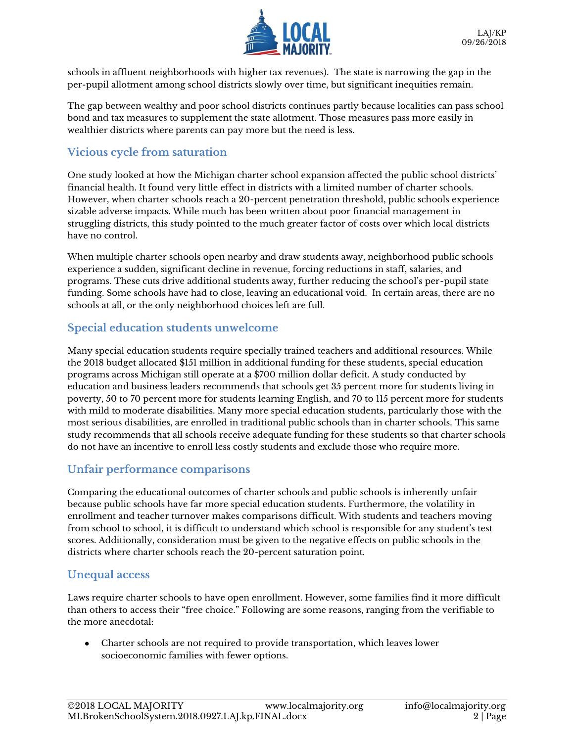

schools in affluent neighborhoods with higher tax revenues). The state is narrowing the gap in the per-pupil allotment among school districts slowly over time, but significant inequities remain.

The gap between wealthy and poor school districts continues partly because localities can pass school bond and tax measures to supplement the state allotment. Those measures pass more easily in wealthier districts where parents can pay more but the need is less.

#### **Vicious cycle from saturation**

One study looked at how the Michigan charter school expansion affected the public school districts' financial health. It found very little effect in districts with a limited number of charter schools. However, when charter schools reach a 20-percent penetration threshold, public schools experience sizable adverse impacts. While much has been written about poor financial management in struggling districts, this study pointed to the much greater factor of costs over which local districts have no control.

When multiple charter schools open nearby and draw students away, neighborhood public schools experience a sudden, significant decline in revenue, forcing reductions in staff, salaries, and programs. These cuts drive additional students away, further reducing the school's per-pupil state funding. Some schools have had to close, leaving an educational void. In certain areas, there are no schools at all, or the only neighborhood choices left are full.

#### **Special education students unwelcome**

Many special education students require specially trained teachers and additional resources. While the 2018 budget allocated \$151 million in additional funding for these students, special education programs across Michigan still operate at a \$700 million dollar deficit. A study conducted by education and business leaders recommends that schools get 35 percent more for students living in poverty, 50 to 70 percent more for students learning English, and 70 to 115 percent more for students with mild to moderate disabilities. Many more special education students, particularly those with the most serious disabilities, are enrolled in traditional public schools than in charter schools. This same study recommends that all schools receive adequate funding for these students so that charter schools do not have an incentive to enroll less costly students and exclude those who require more.

#### **Unfair performance comparisons**

Comparing the educational outcomes of charter schools and public schools is inherently unfair because public schools have far more special education students. Furthermore, the volatility in enrollment and teacher turnover makes comparisons difficult. With students and teachers moving from school to school, it is difficult to understand which school is responsible for any student's test scores. Additionally, consideration must be given to the negative effects on public schools in the districts where charter schools reach the 20-percent saturation point.

#### **Unequal access**

Laws require charter schools to have open enrollment. However, some families find it more difficult than others to access their "free choice." Following are some reasons, ranging from the verifiable to the more anecdotal:

• Charter schools are not required to provide transportation, which leaves lower socioeconomic families with fewer options.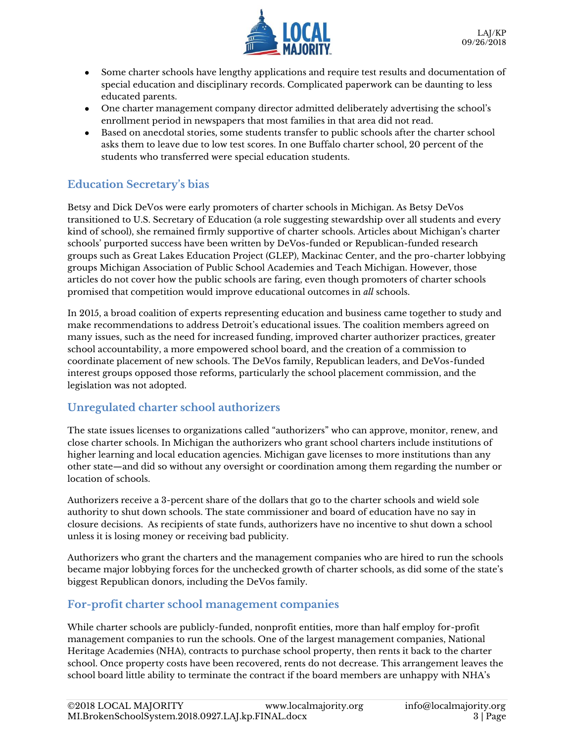

- Some charter schools have lengthy applications and require test results and documentation of special education and disciplinary records. Complicated paperwork can be daunting to less educated parents.
- One charter management company director admitted deliberately advertising the school's enrollment period in newspapers that most families in that area did not read.
- Based on anecdotal stories, some students transfer to public schools after the charter school asks them to leave due to low test scores. In one Buffalo charter school, 20 percent of the students who transferred were special education students.

# **Education Secretary's bias**

Betsy and Dick DeVos were early promoters of charter schools in Michigan. As Betsy DeVos transitioned to U.S. Secretary of Education (a role suggesting stewardship over all students and every kind of school), she remained firmly supportive of charter schools. Articles about Michigan's charter schools' purported success have been written by DeVos-funded or Republican-funded research groups such as Great Lakes Education Project (GLEP), Mackinac Center, and the pro-charter lobbying groups Michigan Association of Public School Academies and Teach Michigan. However, those articles do not cover how the public schools are faring, even though promoters of charter schools promised that competition would improve educational outcomes in *all* schools.

In 2015, a broad coalition of experts representing education and business came together to study and make recommendations to address Detroit's educational issues. The coalition members agreed on many issues, such as the need for increased funding, improved charter authorizer practices, greater school accountability, a more empowered school board, and the creation of a commission to coordinate placement of new schools. The DeVos family, Republican leaders, and DeVos-funded interest groups opposed those reforms, particularly the school placement commission, and the legislation was not adopted.

## **Unregulated charter school authorizers**

The state issues licenses to organizations called "authorizers" who can approve, monitor, renew, and close charter schools. In Michigan the authorizers who grant school charters include institutions of higher learning and local education agencies. Michigan gave licenses to more institutions than any other state—and did so without any oversight or coordination among them regarding the number or location of schools.

Authorizers receive a 3-percent share of the dollars that go to the charter schools and wield sole authority to shut down schools. The state commissioner and board of education have no say in closure decisions. As recipients of state funds, authorizers have no incentive to shut down a school unless it is losing money or receiving bad publicity.

Authorizers who grant the charters and the management companies who are hired to run the schools became major lobbying forces for the unchecked growth of charter schools, as did some of the state's biggest Republican donors, including the DeVos family.

#### **For-profit charter school management companies**

While charter schools are publicly-funded, nonprofit entities, more than half employ for-profit management companies to run the schools. One of the largest management companies, National Heritage Academies (NHA), contracts to purchase school property, then rents it back to the charter school. Once property costs have been recovered, rents do not decrease. This arrangement leaves the school board little ability to terminate the contract if the board members are unhappy with NHA's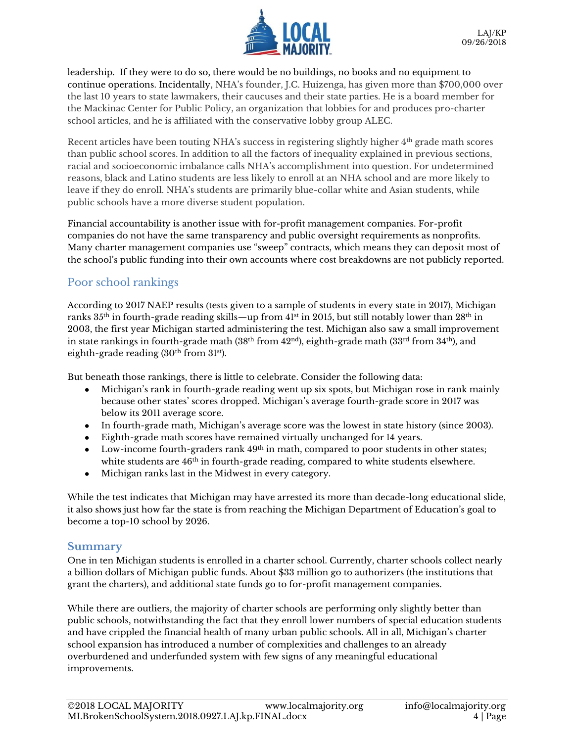

leadership. If they were to do so, there would be no buildings, no books and no equipment to continue operations. Incidentally, NHA's founder, J.C. Huizenga, has given more than \$700,000 over the last 10 years to state lawmakers, their caucuses and their state parties. He is a board member for the Mackinac Center for Public Policy, an organization that lobbies for and produces pro-charter school articles, and he is affiliated with the conservative lobby group ALEC.

Recent articles have been touting NHA's success in registering slightly higher 4th grade math scores than public school scores. In addition to all the factors of inequality explained in previous sections, racial and socioeconomic imbalance calls NHA's accomplishment into question. For undetermined reasons, black and Latino students are less likely to enroll at an NHA school and are more likely to leave if they do enroll. NHA's students are primarily blue-collar white and Asian students, while public schools have a more diverse student population.

Financial accountability is another issue with for-profit management companies. For-profit companies do not have the same transparency and public oversight requirements as nonprofits. Many charter management companies use "sweep" contracts, which means they can deposit most of the school's public funding into their own accounts where cost breakdowns are not publicly reported.

#### Poor school rankings

According to 2017 NAEP results (tests given to a sample of students in every state in 2017), Michigan ranks  $35<sup>th</sup>$  in fourth-grade reading skills—up from 41st in 2015, but still notably lower than  $28<sup>th</sup>$  in 2003, the first year Michigan started administering the test. Michigan also saw a small improvement in state rankings in fourth-grade math  $(38<sup>th</sup>$  from  $42<sup>nd</sup>)$ , eighth-grade math  $(33<sup>rd</sup>$  from  $34<sup>th</sup>)$ , and eighth-grade reading  $(30<sup>th</sup>$  from  $31<sup>st</sup>$ ).

But beneath those rankings, there is little to celebrate. Consider the following data:

- Michigan's rank in fourth-grade reading went up six spots, but Michigan rose in rank mainly because other states' scores dropped. Michigan's average fourth-grade score in 2017 was below its 2011 average score.
- In fourth-grade math, Michigan's average score was the lowest in state history (since 2003).
- Eighth-grade math scores have remained virtually unchanged for 14 years.
- Low-income fourth-graders rank  $49<sup>th</sup>$  in math, compared to poor students in other states; white students are  $46<sup>th</sup>$  in fourth-grade reading, compared to white students elsewhere.
- Michigan ranks last in the Midwest in every category.

While the test indicates that Michigan may have arrested its more than decade-long educational slide, it also shows just how far the state is from reaching the Michigan Department of Education's goal to become a top-10 school by 2026.

#### **Summary**

One in ten Michigan students is enrolled in a charter school. Currently, charter schools collect nearly a billion dollars of Michigan public funds. About \$33 million go to authorizers (the institutions that grant the charters), and additional state funds go to for-profit management companies.

While there are outliers, the majority of charter schools are performing only slightly better than public schools, notwithstanding the fact that they enroll lower numbers of special education students and have crippled the financial health of many urban public schools. All in all, Michigan's charter school expansion has introduced a number of complexities and challenges to an already overburdened and underfunded system with few signs of any meaningful educational improvements.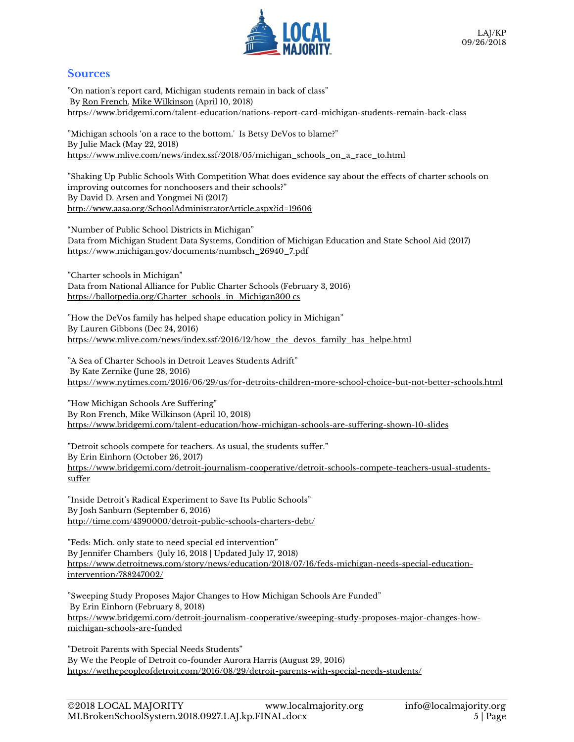

#### **Sources**

"On nation's report card, Michigan students remain in back of class" By [Ron French,](https://www.bridgemi.com/about/ron-french) [Mike Wilkinson](https://www.bridgemi.com/about/mike-wilkinson) (April 10, 2018) <https://www.bridgemi.com/talent-education/nations-report-card-michigan-students-remain-back-class>

"Michigan schools 'on a race to the bottom.' Is Betsy DeVos to blame?" By [Julie Mack](http://connect.mlive.com/staff/jmack/posts.html) (May 22, 2018) [https://www.mlive.com/news/index.ssf/2018/05/michigan\\_schools\\_on\\_a\\_race\\_to.html](https://www.mlive.com/news/index.ssf/2018/05/michigan_schools_on_a_race_to.html)

"Shaking Up Public Schools With Competition What does evidence say about the effects of charter schools on improving outcomes for nonchoosers and their schools?" By David D. Arsen and Yongmei Ni (2017) <http://www.aasa.org/SchoolAdministratorArticle.aspx?id=19606>

"Number of Public School Districts in Michigan" Data from Michigan Student Data Systems, Condition of Michigan Education and State School Aid (2017) [https://www.michigan.gov/documents/numbsch\\_26940\\_7.pdf](https://www.michigan.gov/documents/numbsch_26940_7.pdf)

"Charter sch[ools in Michigan"](https://ballotpedia.org/Charter_schools_in_Michigan) Data from National Alliance for Public Charter Schools (February 3, 2016) [https://ballotpedia.org/Charter\\_schools\\_in\\_Michigan3](https://ballotpedia.org/Charter_schools_in_Michigan)00 cs

"How the DeVos family has helped shape education policy in Michigan" By [Lauren Gibbons](http://connect.mlive.com/staff/LaurenGibbons/posts.html) (Dec 24, 2016) [https://www.mlive.com/news/index.ssf/2016/12/how\\_the\\_devos\\_family\\_has\\_helpe.html](https://www.mlive.com/news/index.ssf/2016/12/how_the_devos_family_has_helpe.html)

"A Sea of Charter Schools in Detroit Leaves Students Adrift" By [Kate Zernike](http://www.nytimes.com/by/kate-zernike) **(**June 28, 2016) <https://www.nytimes.com/2016/06/29/us/for-detroits-children-more-school-choice-but-not-better-schools.html>

"How Michigan Schools Are Suffering" By Ron French, Mike Wilkinson (April 10, 2018) <https://www.bridgemi.com/talent-education/how-michigan-schools-are-suffering-shown-10-slides>

"Detroit schools compete for teachers. As usual, the students suffer." By Erin Einhorn (October 26, 2017) [https://www.bridgemi.com/detroit-journalism-cooperative/detroit-schools-compete-teachers-usual-students](https://www.bridgemi.com/detroit-journalism-cooperative/detroit-schools-compete-teachers-usual-students-suffer)[suffer](https://www.bridgemi.com/detroit-journalism-cooperative/detroit-schools-compete-teachers-usual-students-suffer) 

"Inside Detroit's Radical Experiment to Save Its Public Schools" By Josh Sanburn (September 6, 2016) <http://time.com/4390000/detroit-public-schools-charters-debt/>

"Feds: Mich. only state to need special ed intervention" B[y Jennifer Chambers](http://www.detroitnews.com/staff/27959/jennifer-chambers/) (July 16, 2018 | Updated July 17, 2018) [https://www.detroitnews.com/story/news/education/2018/07/16/feds-michigan-needs-special-education](https://www.detroitnews.com/story/news/education/2018/07/16/feds-michigan-needs-special-education-intervention/788247002/)[intervention/788247002/](https://www.detroitnews.com/story/news/education/2018/07/16/feds-michigan-needs-special-education-intervention/788247002/)

"Sweeping Study Proposes Major Changes to How Michigan Schools Are Funded" By Erin Einhorn (February 8, 2018) [https://www.bridgemi.com/detroit-journalism-cooperative/sweeping-study-proposes-major-changes-how](https://www.bridgemi.com/detroit-journalism-cooperative/sweeping-study-proposes-major-changes-how-michigan-schools-are-funded)[michigan-schools-are-funded](https://www.bridgemi.com/detroit-journalism-cooperative/sweeping-study-proposes-major-changes-how-michigan-schools-are-funded)

"Detroit Parents with Special Needs Students" By We the People of Detroit co-founder Aurora Harris (August 29, 2016) <https://wethepeopleofdetroit.com/2016/08/29/detroit-parents-with-special-needs-students/>